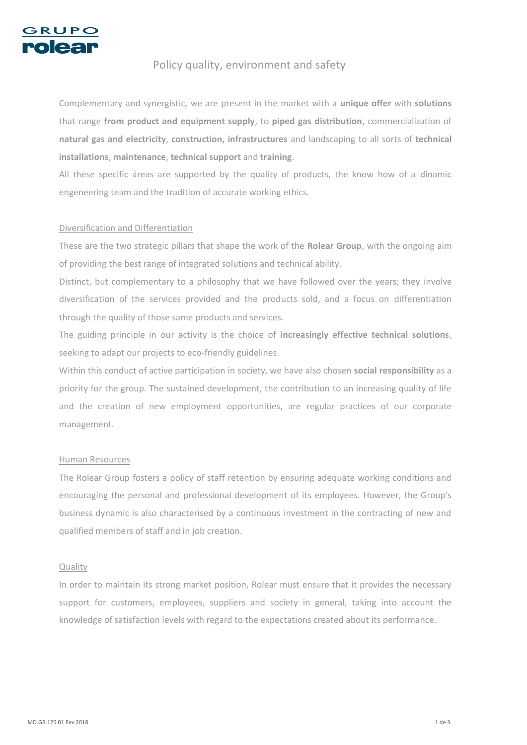

# Policy quality, environment and safety

Complementary and synergistic, we are present in the market with a **unique offer** with **solutions**  that range **from product and equipment supply**, to **piped gas distribution**, commercialization of **natural gas and electricity**, **construction, infrastructures** and landscaping to all sorts of **technical installations**, **maintenance**, **technical support** and **training**.

All these specific áreas are supported by the quality of products, the know how of a dinamic engeneering team and the tradition of accurate working ethics.

## Diversification and Differentiation

These are the two strategic pillars that shape the work of the **Rolear Group**, with the ongoing aim of providing the best range of integrated solutions and technical ability.

Distinct, but complementary to a philosophy that we have followed over the years; they involve diversification of the services provided and the products sold, and a focus on differentiation through the quality of those same products and services.

The guiding principle in our activity is the choice of **increasingly effective technical solutions**, seeking to adapt our projects to eco-friendly guidelines.

Within this conduct of active participation in society, we have also chosen **social responsibility** as a priority for the group. The sustained development, the contribution to an increasing quality of life and the creation of new employment opportunities, are regular practices of our corporate management.

#### Human Resources

The Rolear Group fosters a policy of staff retention by ensuring adequate working conditions and encouraging the personal and professional development of its employees. However, the Group's business dynamic is also characterised by a continuous investment in the contracting of new and qualified members of staff and in job creation.

## Quality

In order to maintain its strong market position, Rolear must ensure that it provides the necessary support for customers, employees, suppliers and society in general, taking into account the knowledge of satisfaction levels with regard to the expectations created about its performance.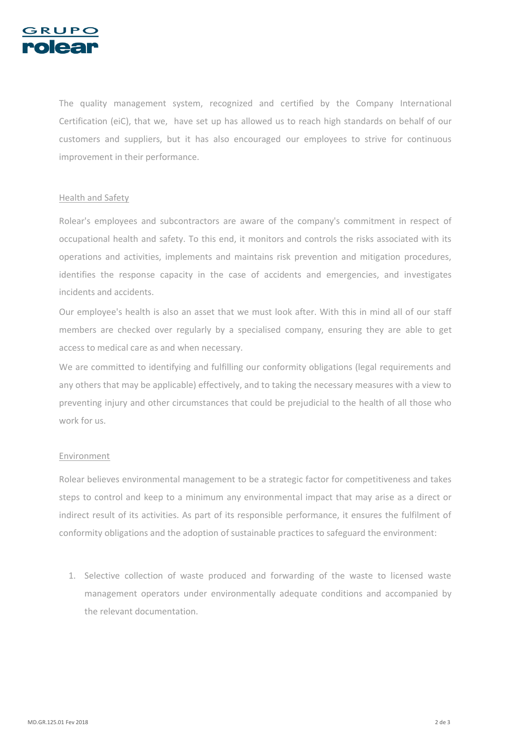

The quality management system, recognized and certified by the Company International Certification (eiC), that we, have set up has allowed us to reach high standards on behalf of our customers and suppliers, but it has also encouraged our employees to strive for continuous improvement in their performance.

### Health and Safety

Rolear's employees and subcontractors are aware of the company's commitment in respect of occupational health and safety. To this end, it monitors and controls the risks associated with its operations and activities, implements and maintains risk prevention and mitigation procedures, identifies the response capacity in the case of accidents and emergencies, and investigates incidents and accidents.

Our employee's health is also an asset that we must look after. With this in mind all of our staff members are checked over regularly by a specialised company, ensuring they are able to get access to medical care as and when necessary.

We are committed to identifying and fulfilling our conformity obligations (legal requirements and any others that may be applicable) effectively, and to taking the necessary measures with a view to preventing injury and other circumstances that could be prejudicial to the health of all those who work for us.

#### Environment

Rolear believes environmental management to be a strategic factor for competitiveness and takes steps to control and keep to a minimum any environmental impact that may arise as a direct or indirect result of its activities. As part of its responsible performance, it ensures the fulfilment of conformity obligations and the adoption of sustainable practices to safeguard the environment:

1. Selective collection of waste produced and forwarding of the waste to licensed waste management operators under environmentally adequate conditions and accompanied by the relevant documentation.